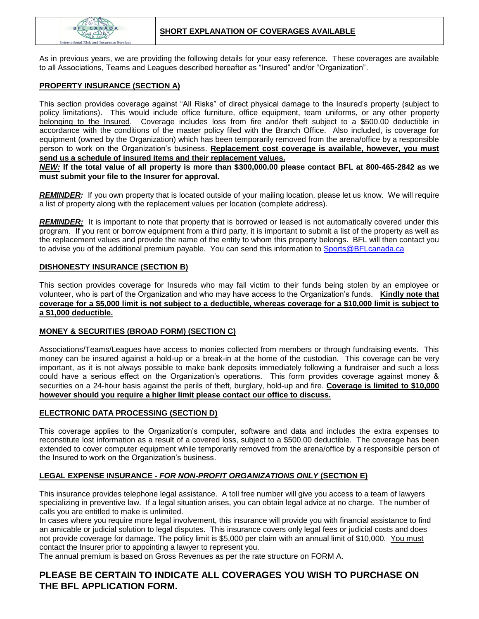

As in previous years, we are providing the following details for your easy reference. These coverages are available to all Associations, Teams and Leagues described hereafter as "Insured" and/or "Organization".

## **PROPERTY INSURANCE (SECTION A)**

This section provides coverage against "All Risks" of direct physical damage to the Insured's property (subject to policy limitations). This would include office furniture, office equipment, team uniforms, or any other property belonging to the Insured. Coverage includes loss from fire and/or theft subject to a \$500.00 deductible in accordance with the conditions of the master policy filed with the Branch Office. Also included, is coverage for equipment (owned by the Organization) which has been temporarily removed from the arena/office by a responsible person to work on the Organization's business. **Replacement cost coverage is available, however, you must send us a schedule of insured items and their replacement values.**

*NEW:* **If the total value of all property is more than \$300,000.00 please contact BFL at 800-465-2842 as we must submit your file to the Insurer for approval.**

*REMINDER:*If you own property that is located outside of your mailing location, please let us know. We will require a list of property along with the replacement values per location (complete address).

*REMINDER:* It is important to note that property that is borrowed or leased is not automatically covered under this program. If you rent or borrow equipment from a third party, it is important to submit a list of the property as well as the replacement values and provide the name of the entity to whom this property belongs. BFL will then contact you to advise you of the additional premium payable. You can send this information t[o Sports@BFLcanada.ca](mailto:Sports@BFLcanada.ca)

## **DISHONESTY INSURANCE (SECTION B)**

This section provides coverage for Insureds who may fall victim to their funds being stolen by an employee or volunteer, who is part of the Organization and who may have access to the Organization's funds. **Kindly note that coverage for a \$5,000 limit is not subject to a deductible, whereas coverage for a \$10,000 limit is subject to a \$1,000 deductible.**

## **MONEY & SECURITIES (BROAD FORM) (SECTION C)**

Associations/Teams/Leagues have access to monies collected from members or through fundraising events. This money can be insured against a hold-up or a break-in at the home of the custodian. This coverage can be very important, as it is not always possible to make bank deposits immediately following a fundraiser and such a loss could have a serious effect on the Organization's operations. This form provides coverage against money & securities on a 24-hour basis against the perils of theft, burglary, hold-up and fire. **Coverage is limited to \$10,000 however should you require a higher limit please contact our office to discuss.**

## **ELECTRONIC DATA PROCESSING (SECTION D)**

This coverage applies to the Organization's computer, software and data and includes the extra expenses to reconstitute lost information as a result of a covered loss, subject to a \$500.00 deductible. The coverage has been extended to cover computer equipment while temporarily removed from the arena/office by a responsible person of the Insured to work on the Organization's business.

## **LEGAL EXPENSE INSURANCE -** *FOR NON-PROFIT ORGANIZATIONS ONLY* **(SECTION E)**

This insurance provides telephone legal assistance. A toll free number will give you access to a team of lawyers specializing in preventive law. If a legal situation arises, you can obtain legal advice at no charge. The number of calls you are entitled to make is unlimited.

In cases where you require more legal involvement, this insurance will provide you with financial assistance to find an amicable or judicial solution to legal disputes. This insurance covers only legal fees or judicial costs and does not provide coverage for damage. The policy limit is \$5,000 per claim with an annual limit of \$10,000. You must contact the Insurer prior to appointing a lawyer to represent you.

The annual premium is based on Gross Revenues as per the rate structure on FORM A.

## **PLEASE BE CERTAIN TO INDICATE ALL COVERAGES YOU WISH TO PURCHASE ON THE BFL APPLICATION FORM.**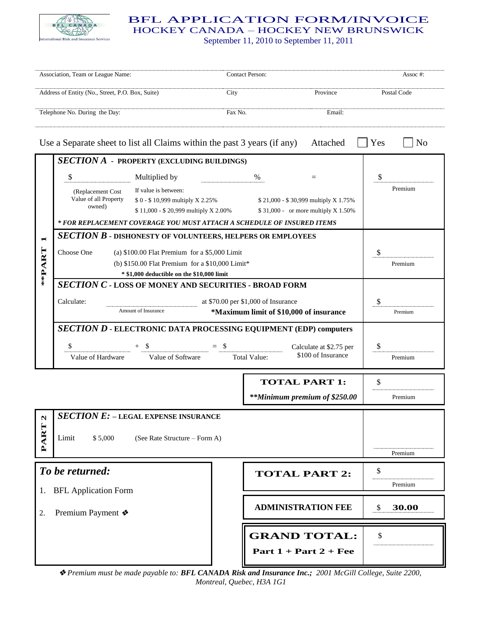

## BFL APPLICATION FORM/INVOICE HOCKEY CANADA – HOCKEY NEW BRUNSWICK

September 11, 2010 to September 11, 2011

| Association, Team or League Name:                                                    |                                                                                                                                                                                                                                     |                                                                                                 |         | Contact Person:                                |                                                                             |               | Assoc#:        |  |
|--------------------------------------------------------------------------------------|-------------------------------------------------------------------------------------------------------------------------------------------------------------------------------------------------------------------------------------|-------------------------------------------------------------------------------------------------|---------|------------------------------------------------|-----------------------------------------------------------------------------|---------------|----------------|--|
| Address of Entity (No., Street, P.O. Box, Suite)                                     |                                                                                                                                                                                                                                     |                                                                                                 | City    |                                                | Province                                                                    | Postal Code   |                |  |
| Telephone No. During the Day:                                                        |                                                                                                                                                                                                                                     |                                                                                                 | Fax No. |                                                | Email:                                                                      |               |                |  |
| Use a Separate sheet to list all Claims within the past 3 years (if any)<br>Attached |                                                                                                                                                                                                                                     |                                                                                                 |         |                                                |                                                                             | Yes           | N <sub>0</sub> |  |
|                                                                                      | <b>SECTION A - PROPERTY (EXCLUDING BUILDINGS)</b>                                                                                                                                                                                   |                                                                                                 |         |                                                |                                                                             |               |                |  |
| **PART                                                                               | \$                                                                                                                                                                                                                                  | Multiplied by                                                                                   |         | %                                              | $=$                                                                         | \$            |                |  |
|                                                                                      | (Replacement Cost)<br>Value of all Property<br>owned)                                                                                                                                                                               | If value is between:<br>\$0 - \$10,999 multiply X 2.25%<br>\$11,000 - \$20,999 multiply X 2.00% |         |                                                | \$21,000 - \$30,999 multiply X 1.75%<br>\$31,000 - or more multiply X 1.50% |               | Premium        |  |
|                                                                                      | * FOR REPLACEMENT COVERAGE YOU MUST ATTACH A SCHEDULE OF INSURED ITEMS                                                                                                                                                              |                                                                                                 |         |                                                |                                                                             |               |                |  |
|                                                                                      | <b>SECTION B - DISHONESTY OF VOLUNTEERS, HELPERS OR EMPLOYEES</b><br>Choose One<br>(a) $$100.00$ Flat Premium for a $$5,000$ Limit<br>(b) \$150.00 Flat Premium for a \$10,000 Limit*<br>* \$1,000 deductible on the \$10,000 limit |                                                                                                 |         |                                                | \$<br>Premium                                                               |               |                |  |
|                                                                                      | <b>SECTION C - LOSS OF MONEY AND SECURITIES - BROAD FORM</b>                                                                                                                                                                        |                                                                                                 |         |                                                |                                                                             |               |                |  |
|                                                                                      | at \$70.00 per \$1,000 of Insurance<br>Calculate:<br>Amount of Insurance<br>*Maximum limit of \$10,000 of insurance                                                                                                                 |                                                                                                 |         |                                                |                                                                             | \$            | Premium        |  |
|                                                                                      | SECTION D - ELECTRONIC DATA PROCESSING EQUIPMENT (EDP) computers<br>\$<br>S<br>- \$<br>$^{+}$<br>Calculate at \$2.75 per<br>\$100 of Insurance<br>Value of Software<br>Value of Hardware<br><b>Total Value:</b>                     |                                                                                                 |         |                                                |                                                                             | \$            | Premium        |  |
|                                                                                      |                                                                                                                                                                                                                                     |                                                                                                 |         | <b>TOTAL PART 1:</b>                           |                                                                             | \$            |                |  |
|                                                                                      |                                                                                                                                                                                                                                     |                                                                                                 |         | **Minimum premium of \$250.00                  |                                                                             |               | Premium        |  |
| $\boldsymbol{\mathsf{u}}$                                                            |                                                                                                                                                                                                                                     | <b>SECTION E: - LEGAL EXPENSE INSURANCE</b>                                                     |         |                                                |                                                                             |               |                |  |
| PART                                                                                 | Limit<br>\$5,000<br>(See Rate Structure – Form A)                                                                                                                                                                                   |                                                                                                 |         |                                                |                                                                             |               | Premium        |  |
|                                                                                      | To be returned:                                                                                                                                                                                                                     |                                                                                                 |         | <b>TOTAL PART 2:</b>                           |                                                                             | \$<br>Premium |                |  |
| 1.<br>2.                                                                             | <b>BFL</b> Application Form<br>Premium Payment ❖                                                                                                                                                                                    |                                                                                                 |         | <b>ADMINISTRATION FEE</b>                      |                                                                             | \$            | 30.00          |  |
|                                                                                      |                                                                                                                                                                                                                                     |                                                                                                 |         | <b>GRAND TOTAL:</b><br>Part $1 + Part 2 + Fee$ |                                                                             | \$            |                |  |

 *Premium must be made payable to: BFL CANADA Risk and Insurance Inc.; 2001 McGill College, Suite 2200, Montreal, Quebec, H3A 1G1*